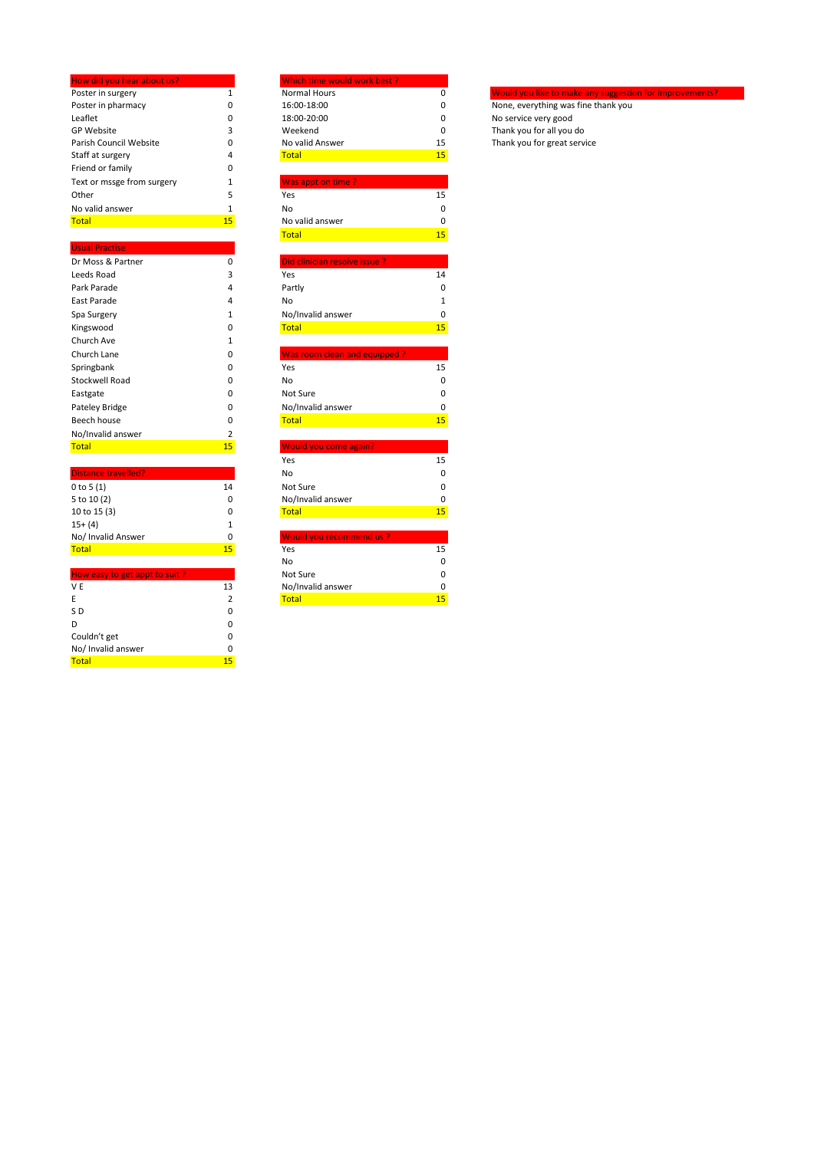| How did you hear about us? |    | Which time would work best? |    |                                                         |
|----------------------------|----|-----------------------------|----|---------------------------------------------------------|
| Poster in surgery          |    | Normal Hours                |    | Would you like to make any suggestion for improvements? |
| Poster in pharmacy         |    | 16:00-18:00                 |    | None, everything was fine thank you                     |
| Leaflet                    |    | 18:00-20:00                 |    | No service very good                                    |
| <b>GP Website</b>          |    | Weekend                     |    | Thank you for all you do                                |
| Parish Council Website     |    | No valid Answer             | 15 | Thank you for great service                             |
| Staff at surgery           |    | Total                       | 15 |                                                         |
| Friend or family           |    |                             |    |                                                         |
| Text or mssge from surgery |    | Was appt on time?           |    |                                                         |
| Other                      |    | Yes                         | 15 |                                                         |
| No valid answer            |    | No                          |    |                                                         |
| <b>Total</b>               | 15 | No valid answer             |    |                                                         |

| Did clinician resolve issue? |    |
|------------------------------|----|
| Yes                          | 14 |
| Partly                       | 0  |
| No                           |    |
| No/Invalid answer            | 0  |
| <b>Total</b>                 | 15 |
|                              |    |
| Was room clean and equipped? |    |
| Yes                          | 15 |
| No                           | 0  |
| Not Sure                     | 0  |
| No/Invalid answer            | 0  |
| <b>Total</b>                 | 15 |
|                              |    |
| Would you come again?        |    |
|                              |    |

| <b>Distance travelled?</b> |    | No                      |
|----------------------------|----|-------------------------|
| 0 to 5 $(1)$               | 14 | Not Sure                |
| 5 to 10 (2)                | 0  | No/Invalid answer       |
| 10 to 15 (3)               | 0  | <b>Total</b>            |
| $15+ (4)$                  |    |                         |
| No/ Invalid Answer         | 0  | Would you recommend us? |
| <b>Total</b>               | 15 | Yes                     |
|                            |    |                         |

| How easy to get appt to suit? |    | Not Sure          |    |
|-------------------------------|----|-------------------|----|
| V <sub>E</sub>                | 13 | No/Invalid answer |    |
| E                             |    | <b>Total</b>      | 15 |
| SD                            | 0  |                   |    |
| D                             | O  |                   |    |
| Couldn't get                  | 0  |                   |    |
| No/ Invalid answer            | 0  |                   |    |
| <b>Total</b>                  | 15 |                   |    |

| How did you hear about us? |    | Which time would work best?   |    |
|----------------------------|----|-------------------------------|----|
| Poster in surgery          | 1  | <b>Normal Hours</b>           | 0  |
| Poster in pharmacy         | 0  | 16:00-18:00                   | 0  |
| Leaflet                    | 0  | 18:00-20:00                   | 0  |
| <b>GP Website</b>          | 3  | Weekend                       | 0  |
| Parish Council Website     | 0  | No valid Answer               | 15 |
| Staff at surgery           | 4  | <b>Total</b>                  | 15 |
| Friend or family           | 0  |                               |    |
| Text or mssge from surgery | 1  | Was appt on time?             |    |
| Other                      | 5  | Yes                           | 15 |
| No valid answer            | 1  | No                            | 0  |
| <b>Total</b>               | 15 | No valid answer               | 0  |
|                            |    | <b>Total</b>                  | 15 |
| <b>Usual Practise</b>      |    |                               |    |
| Dr Moss & Partner          | 0  | Did clinician resolve issue ? |    |
| Leeds Road                 | 3  | Yes                           | 14 |
| Park Parade                | 4  | Partly                        | 0  |
| East Parade                | 4  | No                            | 1  |
| Spa Surgery                | 1  | No/Invalid answer             | 0  |
| Kingswood                  | 0  | <b>Total</b>                  | 15 |
| Church Ave                 | 1  |                               |    |
| Church Lane                | 0  | Was room clean and equipped?  |    |
| Springbank                 | 0  | Yes                           | 15 |
| <b>Stockwell Road</b>      | 0  | No                            | 0  |
| Eastgate                   | 0  | Not Sure                      | 0  |
| Pateley Bridge             | 0  | No/Invalid answer             | 0  |
| Beech house                | 0  | <b>Total</b>                  | 15 |
| No/Invalid answer          | 2  |                               |    |
| <b>Total</b>               | 15 | <b>Would you come again?</b>  |    |
|                            |    | Yes                           | 15 |
| <b>Distance travelled?</b> |    | No                            | 0  |
| 0 to 5 (1)                 | 14 | Not Sure                      | 0  |
| 5 to 10 (2)                | 0  | No/Invalid answer             | 0  |
| 10 to 15 (3)               | 0  | <b>Total</b>                  | 15 |
| $15+ (4)$                  | 1  |                               |    |
| No/ Invalid Answer         | 0  | Would you recommend us?       |    |
| <b>Total</b>               | 15 | Yes                           | 15 |
|                            |    |                               |    |

| No                | ۵ |
|-------------------|---|
| Not Sure          | በ |
| No/Invalid answer | በ |
| Total             |   |
|                   |   |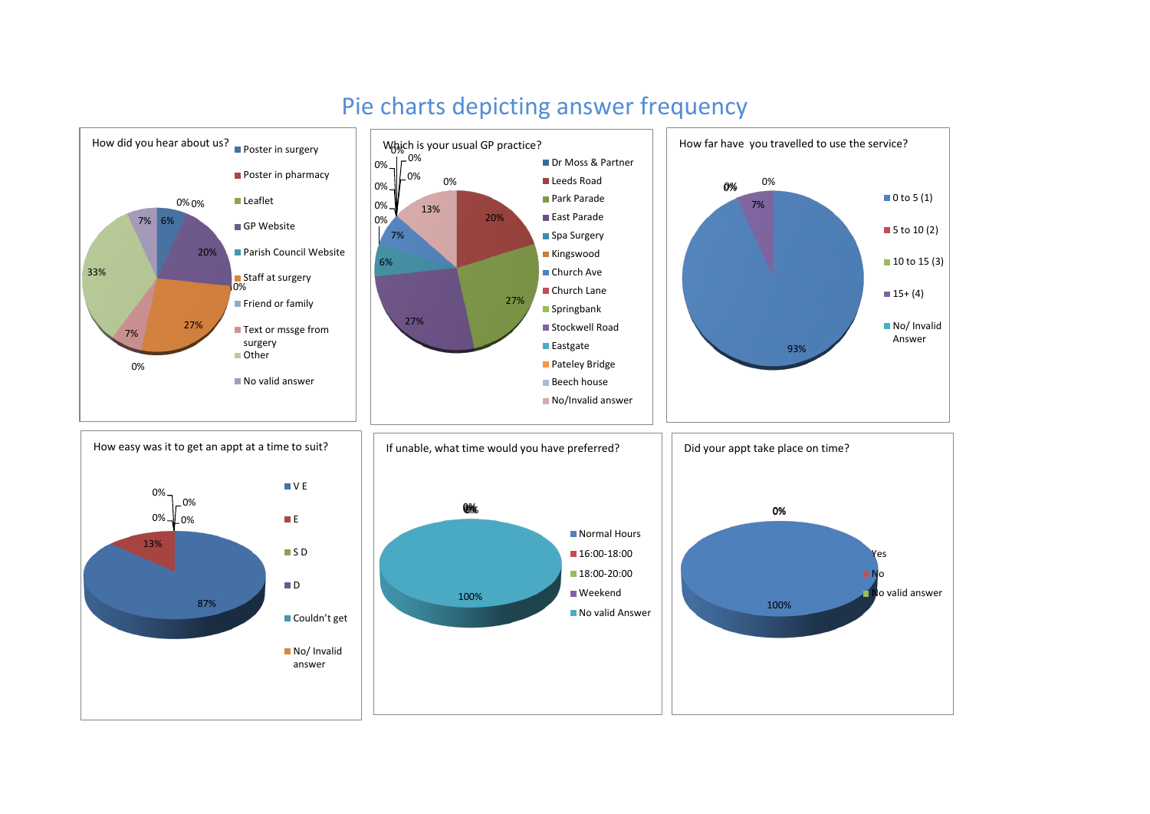

## Pie charts depicting answer frequency